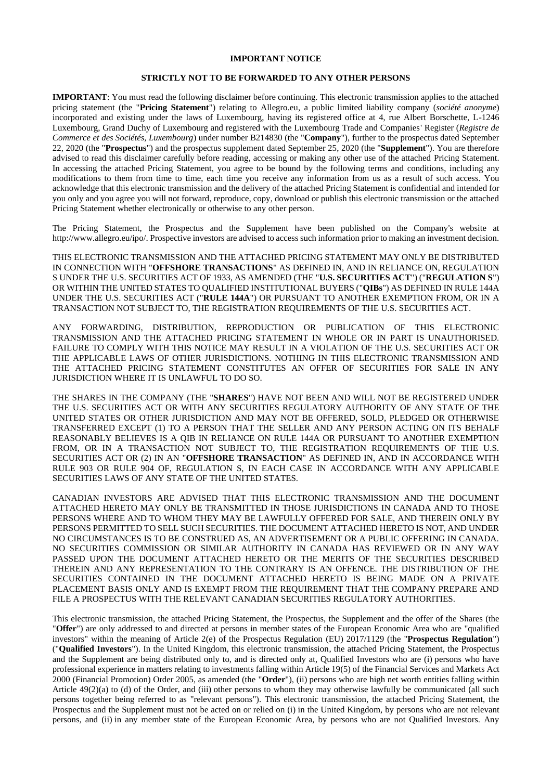## **IMPORTANT NOTICE**

#### **STRICTLY NOT TO BE FORWARDED TO ANY OTHER PERSONS**

**IMPORTANT**: You must read the following disclaimer before continuing. This electronic transmission applies to the attached pricing statement (the "**Pricing Statement**") relating to Allegro.eu, a public limited liability company (*société anonyme*) incorporated and existing under the laws of Luxembourg, having its registered office at 4, rue Albert Borschette, L-1246 Luxembourg, Grand Duchy of Luxembourg and registered with the Luxembourg Trade and Companies' Register (*Registre de Commerce et des Sociétés, Luxembourg*) under number B214830 (the "**Company**"), further to the prospectus dated September 22, 2020 (the "**Prospectus**") and the prospectus supplement dated September 25, 2020 (the "**Supplement**"). You are therefore advised to read this disclaimer carefully before reading, accessing or making any other use of the attached Pricing Statement. In accessing the attached Pricing Statement, you agree to be bound by the following terms and conditions, including any modifications to them from time to time, each time you receive any information from us as a result of such access. You acknowledge that this electronic transmission and the delivery of the attached Pricing Statement is confidential and intended for you only and you agree you will not forward, reproduce, copy, download or publish this electronic transmission or the attached Pricing Statement whether electronically or otherwise to any other person.

The Pricing Statement, the Prospectus and the Supplement have been published on the Company's website at http://www.allegro.eu/ipo/. Prospective investors are advised to access such information prior to making an investment decision.

THIS ELECTRONIC TRANSMISSION AND THE ATTACHED PRICING STATEMENT MAY ONLY BE DISTRIBUTED IN CONNECTION WITH "**OFFSHORE TRANSACTIONS**" AS DEFINED IN, AND IN RELIANCE ON, REGULATION S UNDER THE U.S. SECURITIES ACT OF 1933, AS AMENDED (THE "**U.S. SECURITIES ACT**") ("**REGULATION S**") OR WITHIN THE UNITED STATES TO QUALIFIED INSTITUTIONAL BUYERS ("**QIBs**") AS DEFINED IN RULE 144A UNDER THE U.S. SECURITIES ACT ("**RULE 144A**") OR PURSUANT TO ANOTHER EXEMPTION FROM, OR IN A TRANSACTION NOT SUBJECT TO, THE REGISTRATION REQUIREMENTS OF THE U.S. SECURITIES ACT.

ANY FORWARDING, DISTRIBUTION, REPRODUCTION OR PUBLICATION OF THIS ELECTRONIC TRANSMISSION AND THE ATTACHED PRICING STATEMENT IN WHOLE OR IN PART IS UNAUTHORISED. FAILURE TO COMPLY WITH THIS NOTICE MAY RESULT IN A VIOLATION OF THE U.S. SECURITIES ACT OR THE APPLICABLE LAWS OF OTHER JURISDICTIONS. NOTHING IN THIS ELECTRONIC TRANSMISSION AND THE ATTACHED PRICING STATEMENT CONSTITUTES AN OFFER OF SECURITIES FOR SALE IN ANY JURISDICTION WHERE IT IS UNLAWFUL TO DO SO.

THE SHARES IN THE COMPANY (THE "**SHARES**") HAVE NOT BEEN AND WILL NOT BE REGISTERED UNDER THE U.S. SECURITIES ACT OR WITH ANY SECURITIES REGULATORY AUTHORITY OF ANY STATE OF THE UNITED STATES OR OTHER JURISDICTION AND MAY NOT BE OFFERED, SOLD, PLEDGED OR OTHERWISE TRANSFERRED EXCEPT (1) TO A PERSON THAT THE SELLER AND ANY PERSON ACTING ON ITS BEHALF REASONABLY BELIEVES IS A QIB IN RELIANCE ON RULE 144A OR PURSUANT TO ANOTHER EXEMPTION FROM, OR IN A TRANSACTION NOT SUBJECT TO, THE REGISTRATION REQUIREMENTS OF THE U.S. SECURITIES ACT OR (2) IN AN "**OFFSHORE TRANSACTION**" AS DEFINED IN, AND IN ACCORDANCE WITH RULE 903 OR RULE 904 OF, REGULATION S, IN EACH CASE IN ACCORDANCE WITH ANY APPLICABLE SECURITIES LAWS OF ANY STATE OF THE UNITED STATES.

CANADIAN INVESTORS ARE ADVISED THAT THIS ELECTRONIC TRANSMISSION AND THE DOCUMENT ATTACHED HERETO MAY ONLY BE TRANSMITTED IN THOSE JURISDICTIONS IN CANADA AND TO THOSE PERSONS WHERE AND TO WHOM THEY MAY BE LAWFULLY OFFERED FOR SALE, AND THEREIN ONLY BY PERSONS PERMITTED TO SELL SUCH SECURITIES. THE DOCUMENT ATTACHED HERETO IS NOT, AND UNDER NO CIRCUMSTANCES IS TO BE CONSTRUED AS, AN ADVERTISEMENT OR A PUBLIC OFFERING IN CANADA. NO SECURITIES COMMISSION OR SIMILAR AUTHORITY IN CANADA HAS REVIEWED OR IN ANY WAY PASSED UPON THE DOCUMENT ATTACHED HERETO OR THE MERITS OF THE SECURITIES DESCRIBED THEREIN AND ANY REPRESENTATION TO THE CONTRARY IS AN OFFENCE. THE DISTRIBUTION OF THE SECURITIES CONTAINED IN THE DOCUMENT ATTACHED HERETO IS BEING MADE ON A PRIVATE PLACEMENT BASIS ONLY AND IS EXEMPT FROM THE REQUIREMENT THAT THE COMPANY PREPARE AND FILE A PROSPECTUS WITH THE RELEVANT CANADIAN SECURITIES REGULATORY AUTHORITIES.

This electronic transmission, the attached Pricing Statement, the Prospectus, the Supplement and the offer of the Shares (the "**Offer**") are only addressed to and directed at persons in member states of the European Economic Area who are "qualified investors" within the meaning of Article 2(e) of the Prospectus Regulation (EU) 2017/1129 (the "**Prospectus Regulation**") ("**Qualified Investors**"). In the United Kingdom, this electronic transmission, the attached Pricing Statement, the Prospectus and the Supplement are being distributed only to, and is directed only at, Qualified Investors who are (i) persons who have professional experience in matters relating to investments falling within Article 19(5) of the Financial Services and Markets Act 2000 (Financial Promotion) Order 2005, as amended (the "**Order**"), (ii) persons who are high net worth entities falling within Article  $49(2)(a)$  to (d) of the Order, and (iii) other persons to whom they may otherwise lawfully be communicated (all such persons together being referred to as "relevant persons"). This electronic transmission, the attached Pricing Statement, the Prospectus and the Supplement must not be acted on or relied on (i) in the United Kingdom, by persons who are not relevant persons, and (ii) in any member state of the European Economic Area, by persons who are not Qualified Investors. Any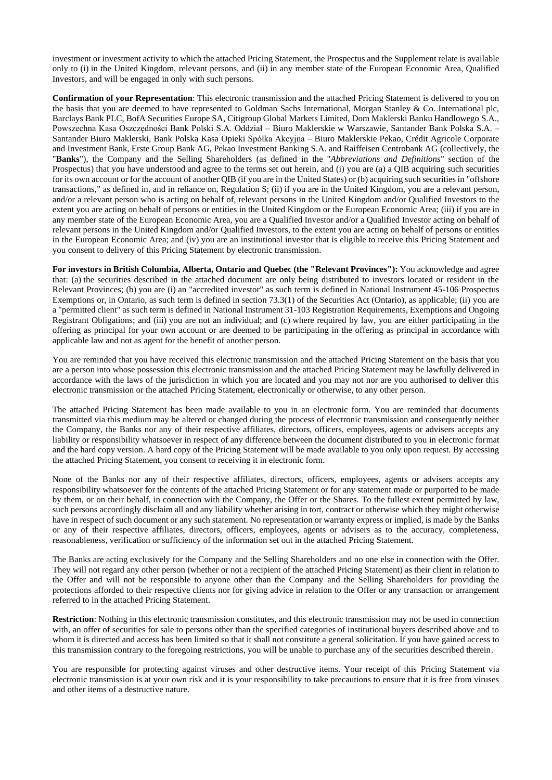investment or investment activity to which the attached Pricing Statement, the Prospectus and the Supplement relate is available only to (i) in the United Kingdom, relevant persons, and (ii) in any member state of the European Economic Area, Qualified Investors, and will be engaged in only with such persons.

**Confirmation of your Representation**: This electronic transmission and the attached Pricing Statement is delivered to you on the basis that you are deemed to have represented to Goldman Sachs International, Morgan Stanley & Co. International plc, Barclays Bank PLC, BofA Securities Europe SA, Citigroup Global Markets Limited, Dom Maklerski Banku Handlowego S.A., Powszechna Kasa Oszczędności Bank Polski S.A. Oddział – Biuro Maklerskie w Warszawie, Santander Bank Polska S.A. – Santander Biuro Maklerski, Bank Polska Kasa Opieki Spółka Akcyjna – Biuro Maklerskie Pekao, Crédit Agricole Corporate and Investment Bank, Erste Group Bank AG, Pekao Investment Banking S.A. and Raiffeisen Centrobank AG (collectively, the "**Banks**"), the Company and the Selling Shareholders (as defined in the "*Abbreviations and Definitions*" section of the Prospectus) that you have understood and agree to the terms set out herein, and (i) you are (a) a QIB acquiring such securities for its own account or for the account of another QIB (if you are in the United States) or (b) acquiring such securities in "offshore transactions," as defined in, and in reliance on, Regulation S; (ii) if you are in the United Kingdom, you are a relevant person, and/or a relevant person who is acting on behalf of, relevant persons in the United Kingdom and/or Qualified Investors to the extent you are acting on behalf of persons or entities in the United Kingdom or the European Economic Area; (iii) if you are in any member state of the European Economic Area, you are a Qualified Investor and/or a Qualified Investor acting on behalf of relevant persons in the United Kingdom and/or Qualified Investors, to the extent you are acting on behalf of persons or entities in the European Economic Area; and (iv) you are an institutional investor that is eligible to receive this Pricing Statement and you consent to delivery of this Pricing Statement by electronic transmission.

**For investors in British Columbia, Alberta, Ontario and Quebec (the "Relevant Provinces"):** You acknowledge and agree that: (a) the securities described in the attached document are only being distributed to investors located or resident in the Relevant Provinces; (b) you are (i) an "accredited investor" as such term is defined in National Instrument 45-106 Prospectus Exemptions or, in Ontario, as such term is defined in section 73.3(1) of the Securities Act (Ontario), as applicable; (ii) you are a "permitted client" as such term is defined in National Instrument 31-103 Registration Requirements, Exemptions and Ongoing Registrant Obligations; and (iii) you are not an individual; and (c) where required by law, you are either participating in the offering as principal for your own account or are deemed to be participating in the offering as principal in accordance with applicable law and not as agent for the benefit of another person.

You are reminded that you have received this electronic transmission and the attached Pricing Statement on the basis that you are a person into whose possession this electronic transmission and the attached Pricing Statement may be lawfully delivered in accordance with the laws of the jurisdiction in which you are located and you may not nor are you authorised to deliver this electronic transmission or the attached Pricing Statement, electronically or otherwise, to any other person.

The attached Pricing Statement has been made available to you in an electronic form. You are reminded that documents transmitted via this medium may be altered or changed during the process of electronic transmission and consequently neither the Company, the Banks nor any of their respective affiliates, directors, officers, employees, agents or advisers accepts any liability or responsibility whatsoever in respect of any difference between the document distributed to you in electronic format and the hard copy version. A hard copy of the Pricing Statement will be made available to you only upon request. By accessing the attached Pricing Statement, you consent to receiving it in electronic form.

None of the Banks nor any of their respective affiliates, directors, officers, employees, agents or advisers accepts any responsibility whatsoever for the contents of the attached Pricing Statement or for any statement made or purported to be made by them, or on their behalf, in connection with the Company, the Offer or the Shares. To the fullest extent permitted by law, such persons accordingly disclaim all and any liability whether arising in tort, contract or otherwise which they might otherwise have in respect of such document or any such statement. No representation or warranty express or implied, is made by the Banks or any of their respective affiliates, directors, officers, employees, agents or advisers as to the accuracy, completeness, reasonableness, verification or sufficiency of the information set out in the attached Pricing Statement.

The Banks are acting exclusively for the Company and the Selling Shareholders and no one else in connection with the Offer. They will not regard any other person (whether or not a recipient of the attached Pricing Statement) as their client in relation to the Offer and will not be responsible to anyone other than the Company and the Selling Shareholders for providing the protections afforded to their respective clients nor for giving advice in relation to the Offer or any transaction or arrangement referred to in the attached Pricing Statement.

**Restriction**: Nothing in this electronic transmission constitutes, and this electronic transmission may not be used in connection with, an offer of securities for sale to persons other than the specified categories of institutional buyers described above and to whom it is directed and access has been limited so that it shall not constitute a general solicitation. If you have gained access to this transmission contrary to the foregoing restrictions, you will be unable to purchase any of the securities described therein.

You are responsible for protecting against viruses and other destructive items. Your receipt of this Pricing Statement via electronic transmission is at your own risk and it is your responsibility to take precautions to ensure that it is free from viruses and other items of a destructive nature.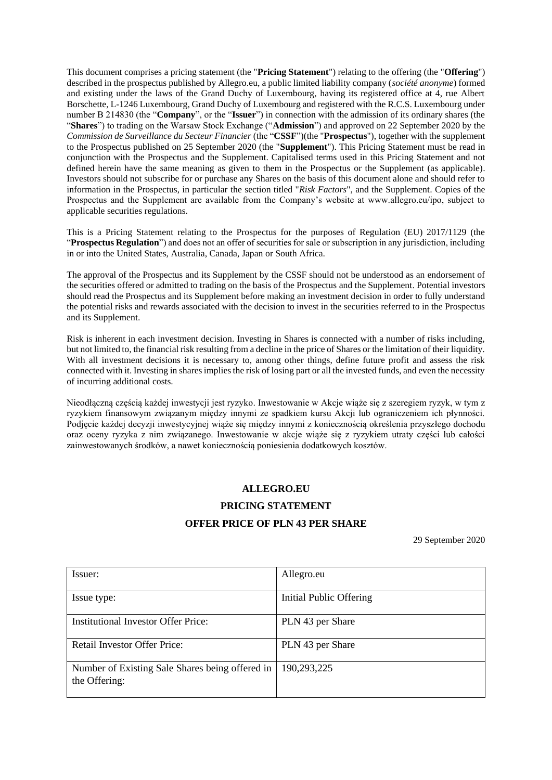This document comprises a pricing statement (the "**Pricing Statement**") relating to the offering (the "**Offering**") described in the prospectus published by Allegro.eu, a public limited liability company (*société anonyme*) formed and existing under the laws of the Grand Duchy of Luxembourg, having its registered office at 4, rue Albert Borschette, L-1246 Luxembourg, Grand Duchy of Luxembourg and registered with the R.C.S. Luxembourg under number B 214830 (the "**Company**", or the "**Issuer**") in connection with the admission of its ordinary shares (the "**Shares**") to trading on the Warsaw Stock Exchange ("**Admission**") and approved on 22 September 2020 by the *Commission de Surveillance du Secteur Financier* (the "**CSSF**")(the "**Prospectus**"), together with the supplement to the Prospectus published on 25 September 2020 (the "**Supplement**"). This Pricing Statement must be read in conjunction with the Prospectus and the Supplement. Capitalised terms used in this Pricing Statement and not defined herein have the same meaning as given to them in the Prospectus or the Supplement (as applicable). Investors should not subscribe for or purchase any Shares on the basis of this document alone and should refer to information in the Prospectus, in particular the section titled "*Risk Factors*", and the Supplement. Copies of the Prospectus and the Supplement are available from the Company's website at www.allegro.eu/ipo, subject to applicable securities regulations.

This is a Pricing Statement relating to the Prospectus for the purposes of Regulation (EU) 2017/1129 (the "**Prospectus Regulation**") and does not an offer of securities for sale or subscription in any jurisdiction, including in or into the United States, Australia, Canada, Japan or South Africa.

The approval of the Prospectus and its Supplement by the CSSF should not be understood as an endorsement of the securities offered or admitted to trading on the basis of the Prospectus and the Supplement. Potential investors should read the Prospectus and its Supplement before making an investment decision in order to fully understand the potential risks and rewards associated with the decision to invest in the securities referred to in the Prospectus and its Supplement.

Risk is inherent in each investment decision. Investing in Shares is connected with a number of risks including, but not limited to, the financial risk resulting from a decline in the price of Shares or the limitation of their liquidity. With all investment decisions it is necessary to, among other things, define future profit and assess the risk connected with it. Investing in shares implies the risk of losing part or all the invested funds, and even the necessity of incurring additional costs.

Nieodłączną częścią każdej inwestycji jest ryzyko. Inwestowanie w Akcje wiąże się z szeregiem ryzyk, w tym z ryzykiem finansowym związanym między innymi ze spadkiem kursu Akcji lub ograniczeniem ich płynności. Podjęcie każdej decyzji inwestycyjnej wiąże się między innymi z koniecznością określenia przyszłego dochodu oraz oceny ryzyka z nim związanego. Inwestowanie w akcje wiąże się z ryzykiem utraty części lub całości zainwestowanych środków, a nawet koniecznością poniesienia dodatkowych kosztów.

## **ALLEGRO.EU**

# **PRICING STATEMENT**

## **OFFER PRICE OF PLN 43 PER SHARE**

29 September 2020

| Issuer:                                                          | Allegro.eu              |
|------------------------------------------------------------------|-------------------------|
| Issue type:                                                      | Initial Public Offering |
| Institutional Investor Offer Price:                              | PLN 43 per Share        |
| <b>Retail Investor Offer Price:</b>                              | PLN 43 per Share        |
| Number of Existing Sale Shares being offered in<br>the Offering: | 190,293,225             |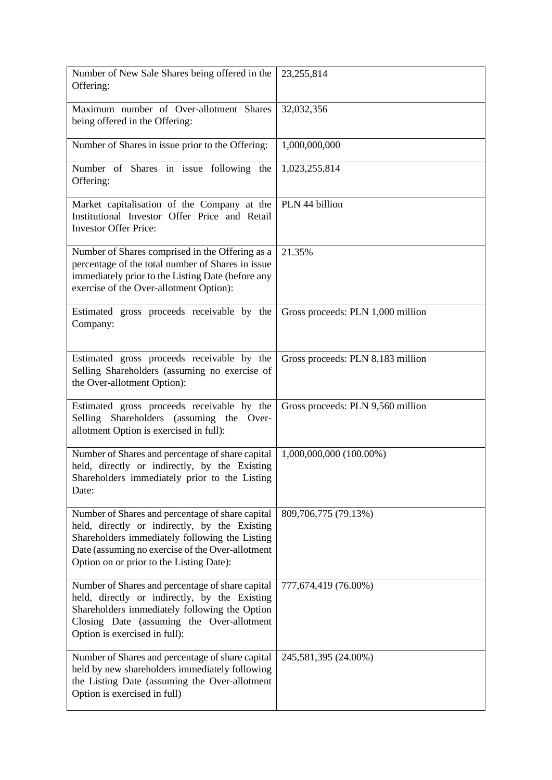| Number of New Sale Shares being offered in the<br>Offering:                                                                                                                                                                                         | 23, 255, 814                      |
|-----------------------------------------------------------------------------------------------------------------------------------------------------------------------------------------------------------------------------------------------------|-----------------------------------|
| Maximum number of Over-allotment Shares<br>being offered in the Offering:                                                                                                                                                                           | 32,032,356                        |
| Number of Shares in issue prior to the Offering:                                                                                                                                                                                                    | 1,000,000,000                     |
| Number of Shares in issue following the<br>Offering:                                                                                                                                                                                                | 1,023,255,814                     |
| Market capitalisation of the Company at the<br>Institutional Investor Offer Price and Retail<br><b>Investor Offer Price:</b>                                                                                                                        | PLN 44 billion                    |
| Number of Shares comprised in the Offering as a<br>percentage of the total number of Shares in issue<br>immediately prior to the Listing Date (before any<br>exercise of the Over-allotment Option):                                                | 21.35%                            |
| Estimated gross proceeds receivable by the<br>Company:                                                                                                                                                                                              | Gross proceeds: PLN 1,000 million |
| Estimated gross proceeds receivable by the<br>Selling Shareholders (assuming no exercise of<br>the Over-allotment Option):                                                                                                                          | Gross proceeds: PLN 8,183 million |
| Estimated gross proceeds receivable by the<br>Selling Shareholders (assuming the Over-<br>allotment Option is exercised in full):                                                                                                                   | Gross proceeds: PLN 9,560 million |
| Number of Shares and percentage of share capital<br>held, directly or indirectly, by the Existing<br>Shareholders immediately prior to the Listing<br>Date:                                                                                         | 1,000,000,000 (100.00%)           |
| Number of Shares and percentage of share capital<br>held, directly or indirectly, by the Existing<br>Shareholders immediately following the Listing<br>Date (assuming no exercise of the Over-allotment<br>Option on or prior to the Listing Date): | 809,706,775 (79.13%)              |
| Number of Shares and percentage of share capital<br>held, directly or indirectly, by the Existing<br>Shareholders immediately following the Option<br>Closing Date (assuming the Over-allotment<br>Option is exercised in full):                    | 777,674,419 (76.00%)              |
| Number of Shares and percentage of share capital<br>held by new shareholders immediately following<br>the Listing Date (assuming the Over-allotment<br>Option is exercised in full)                                                                 | 245,581,395 (24.00%)              |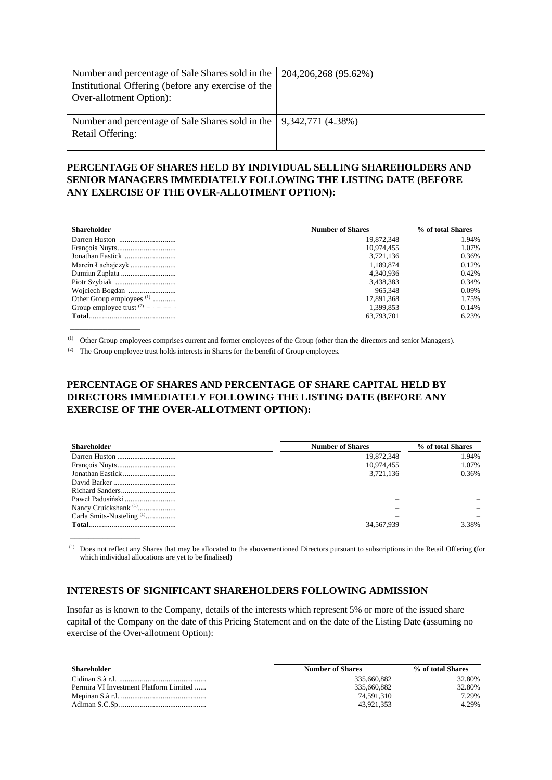| Number and percentage of Sale Shares sold in the<br>Institutional Offering (before any exercise of the<br>Over-allotment Option): | 204, 206, 268 (95.62%) |
|-----------------------------------------------------------------------------------------------------------------------------------|------------------------|
| Number and percentage of Sale Shares sold in the   9,342,771 (4.38%)<br>Retail Offering:                                          |                        |

# **PERCENTAGE OF SHARES HELD BY INDIVIDUAL SELLING SHAREHOLDERS AND SENIOR MANAGERS IMMEDIATELY FOLLOWING THE LISTING DATE (BEFORE ANY EXERCISE OF THE OVER-ALLOTMENT OPTION):**

| <b>Shareholder</b>                   | <b>Number of Shares</b> | % of total Shares |
|--------------------------------------|-------------------------|-------------------|
|                                      | 19,872,348              | 1.94%             |
|                                      | 10.974.455              | 1.07%             |
| Jonathan Eastick                     | 3.721.136               | 0.36%             |
|                                      | 1.189.874               | 0.12%             |
| Damian Zapłata                       | 4,340,936               | 0.42%             |
|                                      | 3,438,383               | 0.34%             |
| Wojciech Bogdan                      | 965.348                 | 0.09%             |
| Other Group employees <sup>(1)</sup> | 17,891,368              | 1.75%             |
|                                      | 1,399,853               | 0.14%             |
|                                      | 63,793,701              | 6.23%             |
|                                      |                         |                   |

(1) Other Group employees comprises current and former employees of the Group (other than the directors and senior Managers).

(2) The Group employee trust holds interests in Shares for the benefit of Group employees.

# **PERCENTAGE OF SHARES AND PERCENTAGE OF SHARE CAPITAL HELD BY DIRECTORS IMMEDIATELY FOLLOWING THE LISTING DATE (BEFORE ANY EXERCISE OF THE OVER-ALLOTMENT OPTION):**

| <b>Shareholder</b>                   | <b>Number of Shares</b> | % of total Shares |
|--------------------------------------|-------------------------|-------------------|
| Darren Huston                        | 19,872,348              | 1.94%             |
|                                      | 10,974,455              | 1.07%             |
| Jonathan Eastick                     | 3,721,136               | 0.36%             |
|                                      |                         |                   |
|                                      |                         |                   |
| Paweł Padusiński                     |                         |                   |
| Nancy Cruickshank <sup>(1)</sup>     |                         |                   |
| Carla Smits-Nusteling <sup>(1)</sup> |                         |                   |
|                                      | 34,567,939              | 3.38%             |
|                                      |                         |                   |

(1) Does not reflect any Shares that may be allocated to the abovementioned Directors pursuant to subscriptions in the Retail Offering (for which individual allocations are yet to be finalised)

## **INTERESTS OF SIGNIFICANT SHAREHOLDERS FOLLOWING ADMISSION**

Insofar as is known to the Company, details of the interests which represent 5% or more of the issued share capital of the Company on the date of this Pricing Statement and on the date of the Listing Date (assuming no exercise of the Over-allotment Option):

| Shareholder                            | <b>Number of Shares</b> | % of total Shares |
|----------------------------------------|-------------------------|-------------------|
|                                        | 335.660.882             | 32.80%            |
| Permira VI Investment Platform Limited | 335,660,882             | 32.80%            |
|                                        | 74.591.310              | 7.29%             |
|                                        | 43.921.353              | 4.29%             |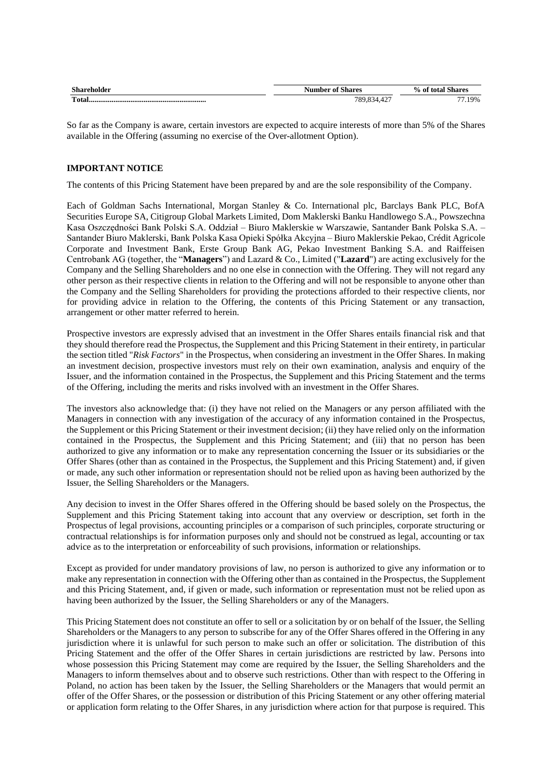| <b>Shareholder</b> | <b>Number of Shares</b> | % of total Shares |
|--------------------|-------------------------|-------------------|
|                    | 789,834,42.             | $.19\%$           |

So far as the Company is aware, certain investors are expected to acquire interests of more than 5% of the Shares available in the Offering (assuming no exercise of the Over-allotment Option).

#### **IMPORTANT NOTICE**

The contents of this Pricing Statement have been prepared by and are the sole responsibility of the Company.

Each of Goldman Sachs International, Morgan Stanley & Co. International plc, Barclays Bank PLC, BofA Securities Europe SA, Citigroup Global Markets Limited, Dom Maklerski Banku Handlowego S.A., Powszechna Kasa Oszczędności Bank Polski S.A. Oddział – Biuro Maklerskie w Warszawie, Santander Bank Polska S.A. – Santander Biuro Maklerski, Bank Polska Kasa Opieki Spółka Akcyjna – Biuro Maklerskie Pekao, Crédit Agricole Corporate and Investment Bank, Erste Group Bank AG, Pekao Investment Banking S.A. and Raiffeisen Centrobank AG (together, the "**Managers**") and Lazard & Co., Limited ("**Lazard**") are acting exclusively for the Company and the Selling Shareholders and no one else in connection with the Offering. They will not regard any other person as their respective clients in relation to the Offering and will not be responsible to anyone other than the Company and the Selling Shareholders for providing the protections afforded to their respective clients, nor for providing advice in relation to the Offering, the contents of this Pricing Statement or any transaction, arrangement or other matter referred to herein.

Prospective investors are expressly advised that an investment in the Offer Shares entails financial risk and that they should therefore read the Prospectus, the Supplement and this Pricing Statement in their entirety, in particular the section titled "*Risk Factors*" in the Prospectus, when considering an investment in the Offer Shares. In making an investment decision, prospective investors must rely on their own examination, analysis and enquiry of the Issuer, and the information contained in the Prospectus, the Supplement and this Pricing Statement and the terms of the Offering, including the merits and risks involved with an investment in the Offer Shares.

The investors also acknowledge that: (i) they have not relied on the Managers or any person affiliated with the Managers in connection with any investigation of the accuracy of any information contained in the Prospectus, the Supplement or this Pricing Statement or their investment decision; (ii) they have relied only on the information contained in the Prospectus, the Supplement and this Pricing Statement; and (iii) that no person has been authorized to give any information or to make any representation concerning the Issuer or its subsidiaries or the Offer Shares (other than as contained in the Prospectus, the Supplement and this Pricing Statement) and, if given or made, any such other information or representation should not be relied upon as having been authorized by the Issuer, the Selling Shareholders or the Managers.

Any decision to invest in the Offer Shares offered in the Offering should be based solely on the Prospectus, the Supplement and this Pricing Statement taking into account that any overview or description, set forth in the Prospectus of legal provisions, accounting principles or a comparison of such principles, corporate structuring or contractual relationships is for information purposes only and should not be construed as legal, accounting or tax advice as to the interpretation or enforceability of such provisions, information or relationships.

Except as provided for under mandatory provisions of law, no person is authorized to give any information or to make any representation in connection with the Offering other than as contained in the Prospectus, the Supplement and this Pricing Statement, and, if given or made, such information or representation must not be relied upon as having been authorized by the Issuer, the Selling Shareholders or any of the Managers.

This Pricing Statement does not constitute an offer to sell or a solicitation by or on behalf of the Issuer, the Selling Shareholders or the Managers to any person to subscribe for any of the Offer Shares offered in the Offering in any jurisdiction where it is unlawful for such person to make such an offer or solicitation. The distribution of this Pricing Statement and the offer of the Offer Shares in certain jurisdictions are restricted by law. Persons into whose possession this Pricing Statement may come are required by the Issuer, the Selling Shareholders and the Managers to inform themselves about and to observe such restrictions. Other than with respect to the Offering in Poland, no action has been taken by the Issuer, the Selling Shareholders or the Managers that would permit an offer of the Offer Shares, or the possession or distribution of this Pricing Statement or any other offering material or application form relating to the Offer Shares, in any jurisdiction where action for that purpose is required. This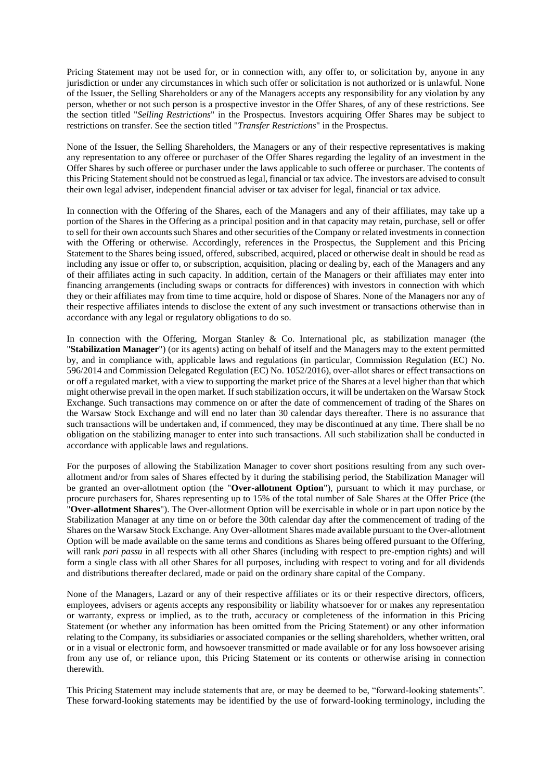Pricing Statement may not be used for, or in connection with, any offer to, or solicitation by, anyone in any jurisdiction or under any circumstances in which such offer or solicitation is not authorized or is unlawful. None of the Issuer, the Selling Shareholders or any of the Managers accepts any responsibility for any violation by any person, whether or not such person is a prospective investor in the Offer Shares, of any of these restrictions. See the section titled "*Selling Restrictions*" in the Prospectus. Investors acquiring Offer Shares may be subject to restrictions on transfer. See the section titled "*Transfer Restrictions*" in the Prospectus.

None of the Issuer, the Selling Shareholders, the Managers or any of their respective representatives is making any representation to any offeree or purchaser of the Offer Shares regarding the legality of an investment in the Offer Shares by such offeree or purchaser under the laws applicable to such offeree or purchaser. The contents of this Pricing Statement should not be construed as legal, financial or tax advice. The investors are advised to consult their own legal adviser, independent financial adviser or tax adviser for legal, financial or tax advice.

In connection with the Offering of the Shares, each of the Managers and any of their affiliates, may take up a portion of the Shares in the Offering as a principal position and in that capacity may retain, purchase, sell or offer to sell for their own accounts such Shares and other securities of the Company or related investments in connection with the Offering or otherwise. Accordingly, references in the Prospectus, the Supplement and this Pricing Statement to the Shares being issued, offered, subscribed, acquired, placed or otherwise dealt in should be read as including any issue or offer to, or subscription, acquisition, placing or dealing by, each of the Managers and any of their affiliates acting in such capacity. In addition, certain of the Managers or their affiliates may enter into financing arrangements (including swaps or contracts for differences) with investors in connection with which they or their affiliates may from time to time acquire, hold or dispose of Shares. None of the Managers nor any of their respective affiliates intends to disclose the extent of any such investment or transactions otherwise than in accordance with any legal or regulatory obligations to do so.

In connection with the Offering, Morgan Stanley & Co. International plc, as stabilization manager (the "**Stabilization Manager**") (or its agents) acting on behalf of itself and the Managers may to the extent permitted by, and in compliance with, applicable laws and regulations (in particular, Commission Regulation (EC) No. 596/2014 and Commission Delegated Regulation (EC) No. 1052/2016), over-allot shares or effect transactions on or off a regulated market, with a view to supporting the market price of the Shares at a level higher than that which might otherwise prevail in the open market. If such stabilization occurs, it will be undertaken on the Warsaw Stock Exchange. Such transactions may commence on or after the date of commencement of trading of the Shares on the Warsaw Stock Exchange and will end no later than 30 calendar days thereafter. There is no assurance that such transactions will be undertaken and, if commenced, they may be discontinued at any time. There shall be no obligation on the stabilizing manager to enter into such transactions. All such stabilization shall be conducted in accordance with applicable laws and regulations.

For the purposes of allowing the Stabilization Manager to cover short positions resulting from any such overallotment and/or from sales of Shares effected by it during the stabilising period, the Stabilization Manager will be granted an over-allotment option (the "**Over-allotment Option**"), pursuant to which it may purchase, or procure purchasers for, Shares representing up to 15% of the total number of Sale Shares at the Offer Price (the "**Over-allotment Shares**"). The Over-allotment Option will be exercisable in whole or in part upon notice by the Stabilization Manager at any time on or before the 30th calendar day after the commencement of trading of the Shares on the Warsaw Stock Exchange. Any Over-allotment Shares made available pursuant to the Over-allotment Option will be made available on the same terms and conditions as Shares being offered pursuant to the Offering, will rank *pari passu* in all respects with all other Shares (including with respect to pre-emption rights) and will form a single class with all other Shares for all purposes, including with respect to voting and for all dividends and distributions thereafter declared, made or paid on the ordinary share capital of the Company.

None of the Managers, Lazard or any of their respective affiliates or its or their respective directors, officers, employees, advisers or agents accepts any responsibility or liability whatsoever for or makes any representation or warranty, express or implied, as to the truth, accuracy or completeness of the information in this Pricing Statement (or whether any information has been omitted from the Pricing Statement) or any other information relating to the Company, its subsidiaries or associated companies or the selling shareholders, whether written, oral or in a visual or electronic form, and howsoever transmitted or made available or for any loss howsoever arising from any use of, or reliance upon, this Pricing Statement or its contents or otherwise arising in connection therewith.

This Pricing Statement may include statements that are, or may be deemed to be, "forward-looking statements". These forward-looking statements may be identified by the use of forward-looking terminology, including the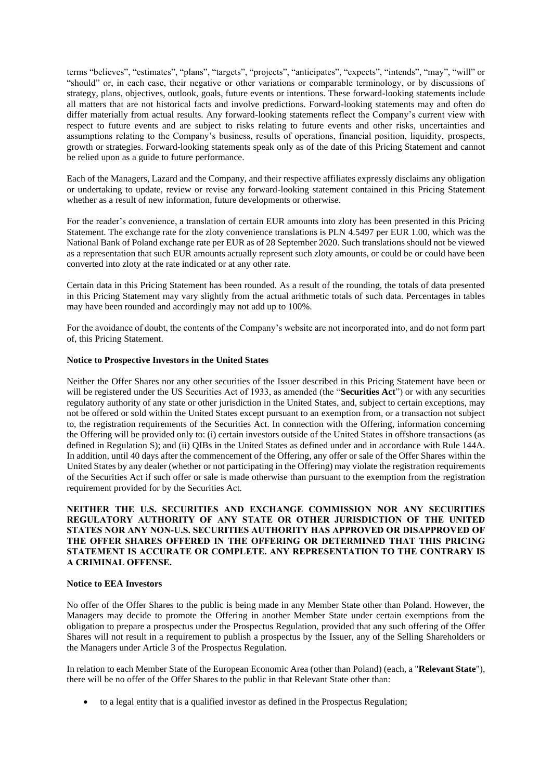terms "believes", "estimates", "plans", "targets", "projects", "anticipates", "expects", "intends", "may", "will" or "should" or, in each case, their negative or other variations or comparable terminology, or by discussions of strategy, plans, objectives, outlook, goals, future events or intentions. These forward-looking statements include all matters that are not historical facts and involve predictions. Forward-looking statements may and often do differ materially from actual results. Any forward-looking statements reflect the Company's current view with respect to future events and are subject to risks relating to future events and other risks, uncertainties and assumptions relating to the Company's business, results of operations, financial position, liquidity, prospects, growth or strategies. Forward-looking statements speak only as of the date of this Pricing Statement and cannot be relied upon as a guide to future performance.

Each of the Managers, Lazard and the Company, and their respective affiliates expressly disclaims any obligation or undertaking to update, review or revise any forward-looking statement contained in this Pricing Statement whether as a result of new information, future developments or otherwise.

For the reader's convenience, a translation of certain EUR amounts into zloty has been presented in this Pricing Statement. The exchange rate for the zloty convenience translations is PLN 4.5497 per EUR 1.00, which was the National Bank of Poland exchange rate per EUR as of 28 September 2020. Such translations should not be viewed as a representation that such EUR amounts actually represent such zloty amounts, or could be or could have been converted into zloty at the rate indicated or at any other rate.

Certain data in this Pricing Statement has been rounded. As a result of the rounding, the totals of data presented in this Pricing Statement may vary slightly from the actual arithmetic totals of such data. Percentages in tables may have been rounded and accordingly may not add up to 100%.

For the avoidance of doubt, the contents of the Company's website are not incorporated into, and do not form part of, this Pricing Statement.

#### **Notice to Prospective Investors in the United States**

Neither the Offer Shares nor any other securities of the Issuer described in this Pricing Statement have been or will be registered under the US Securities Act of 1933, as amended (the "**Securities Act**") or with any securities regulatory authority of any state or other jurisdiction in the United States, and, subject to certain exceptions, may not be offered or sold within the United States except pursuant to an exemption from, or a transaction not subject to, the registration requirements of the Securities Act. In connection with the Offering, information concerning the Offering will be provided only to: (i) certain investors outside of the United States in offshore transactions (as defined in Regulation S); and (ii) QIBs in the United States as defined under and in accordance with Rule 144A. In addition, until 40 days after the commencement of the Offering, any offer or sale of the Offer Shares within the United States by any dealer (whether or not participating in the Offering) may violate the registration requirements of the Securities Act if such offer or sale is made otherwise than pursuant to the exemption from the registration requirement provided for by the Securities Act.

### **NEITHER THE U.S. SECURITIES AND EXCHANGE COMMISSION NOR ANY SECURITIES REGULATORY AUTHORITY OF ANY STATE OR OTHER JURISDICTION OF THE UNITED STATES NOR ANY NON-U.S. SECURITIES AUTHORITY HAS APPROVED OR DISAPPROVED OF THE OFFER SHARES OFFERED IN THE OFFERING OR DETERMINED THAT THIS PRICING STATEMENT IS ACCURATE OR COMPLETE. ANY REPRESENTATION TO THE CONTRARY IS A CRIMINAL OFFENSE.**

#### **Notice to EEA Investors**

No offer of the Offer Shares to the public is being made in any Member State other than Poland. However, the Managers may decide to promote the Offering in another Member State under certain exemptions from the obligation to prepare a prospectus under the Prospectus Regulation, provided that any such offering of the Offer Shares will not result in a requirement to publish a prospectus by the Issuer, any of the Selling Shareholders or the Managers under Article 3 of the Prospectus Regulation.

In relation to each Member State of the European Economic Area (other than Poland) (each, a "**Relevant State**"), there will be no offer of the Offer Shares to the public in that Relevant State other than:

• to a legal entity that is a qualified investor as defined in the Prospectus Regulation;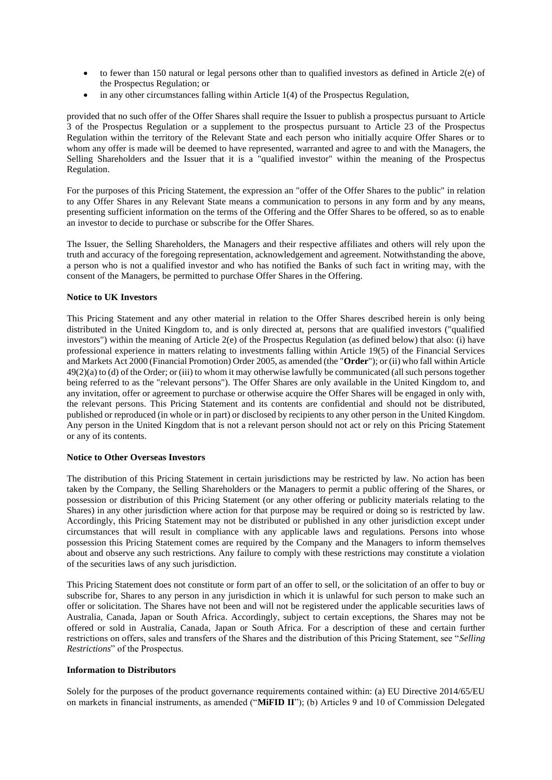- to fewer than 150 natural or legal persons other than to qualified investors as defined in Article 2(e) of the Prospectus Regulation; or
- in any other circumstances falling within Article 1(4) of the Prospectus Regulation,

provided that no such offer of the Offer Shares shall require the Issuer to publish a prospectus pursuant to Article 3 of the Prospectus Regulation or a supplement to the prospectus pursuant to Article 23 of the Prospectus Regulation within the territory of the Relevant State and each person who initially acquire Offer Shares or to whom any offer is made will be deemed to have represented, warranted and agree to and with the Managers, the Selling Shareholders and the Issuer that it is a "qualified investor" within the meaning of the Prospectus Regulation.

For the purposes of this Pricing Statement, the expression an "offer of the Offer Shares to the public" in relation to any Offer Shares in any Relevant State means a communication to persons in any form and by any means, presenting sufficient information on the terms of the Offering and the Offer Shares to be offered, so as to enable an investor to decide to purchase or subscribe for the Offer Shares.

The Issuer, the Selling Shareholders, the Managers and their respective affiliates and others will rely upon the truth and accuracy of the foregoing representation, acknowledgement and agreement. Notwithstanding the above, a person who is not a qualified investor and who has notified the Banks of such fact in writing may, with the consent of the Managers, be permitted to purchase Offer Shares in the Offering.

### **Notice to UK Investors**

This Pricing Statement and any other material in relation to the Offer Shares described herein is only being distributed in the United Kingdom to, and is only directed at, persons that are qualified investors ("qualified investors") within the meaning of Article 2(e) of the Prospectus Regulation (as defined below) that also: (i) have professional experience in matters relating to investments falling within Article 19(5) of the Financial Services and Markets Act 2000 (Financial Promotion) Order 2005, as amended (the "**Order**"); or (ii) who fall within Article 49(2)(a) to (d) of the Order; or (iii) to whom it may otherwise lawfully be communicated (all such persons together being referred to as the "relevant persons"). The Offer Shares are only available in the United Kingdom to, and any invitation, offer or agreement to purchase or otherwise acquire the Offer Shares will be engaged in only with, the relevant persons. This Pricing Statement and its contents are confidential and should not be distributed, published or reproduced (in whole or in part) or disclosed by recipients to any other person in the United Kingdom. Any person in the United Kingdom that is not a relevant person should not act or rely on this Pricing Statement or any of its contents.

### **Notice to Other Overseas Investors**

The distribution of this Pricing Statement in certain jurisdictions may be restricted by law. No action has been taken by the Company, the Selling Shareholders or the Managers to permit a public offering of the Shares, or possession or distribution of this Pricing Statement (or any other offering or publicity materials relating to the Shares) in any other jurisdiction where action for that purpose may be required or doing so is restricted by law. Accordingly, this Pricing Statement may not be distributed or published in any other jurisdiction except under circumstances that will result in compliance with any applicable laws and regulations. Persons into whose possession this Pricing Statement comes are required by the Company and the Managers to inform themselves about and observe any such restrictions. Any failure to comply with these restrictions may constitute a violation of the securities laws of any such jurisdiction.

This Pricing Statement does not constitute or form part of an offer to sell, or the solicitation of an offer to buy or subscribe for, Shares to any person in any jurisdiction in which it is unlawful for such person to make such an offer or solicitation. The Shares have not been and will not be registered under the applicable securities laws of Australia, Canada, Japan or South Africa. Accordingly, subject to certain exceptions, the Shares may not be offered or sold in Australia, Canada, Japan or South Africa. For a description of these and certain further restrictions on offers, sales and transfers of the Shares and the distribution of this Pricing Statement, see "*Selling Restrictions*" of the Prospectus.

#### **Information to Distributors**

Solely for the purposes of the product governance requirements contained within: (a) EU Directive 2014/65/EU on markets in financial instruments, as amended ("**MiFID II**"); (b) Articles 9 and 10 of Commission Delegated